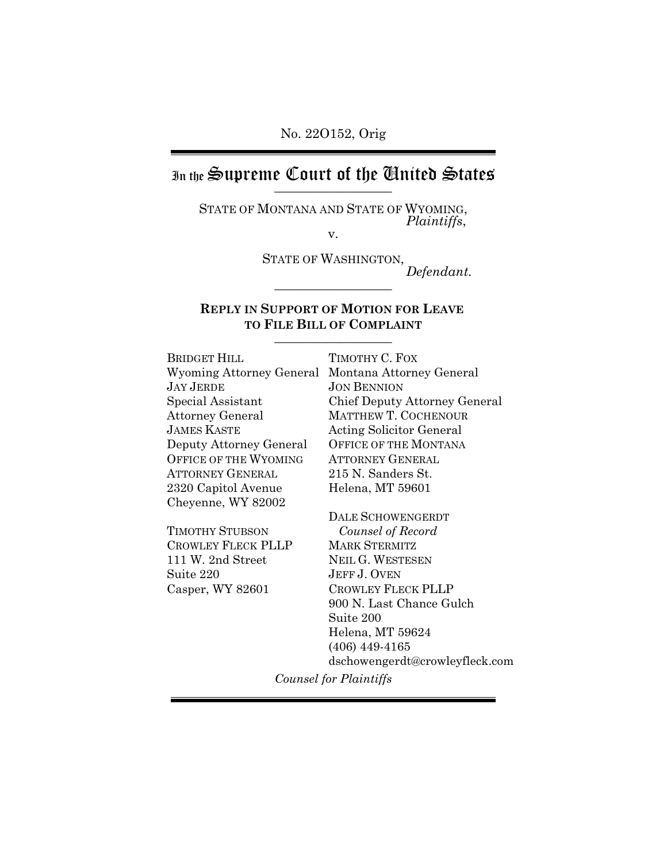# In the Supreme Court of the Chuited States

STATE OF MONTANA AND STATE OF WYOMING, *Plaintiffs*, v.

STATE OF WASHINGTON,  $Defendant.$ 

#### **REPLY IN SUPPORT OF MOTION FOR LEAVE TO FILE BILL OF COMPLAINT** \_\_\_\_\_\_\_\_\_\_\_\_\_\_\_\_\_\_

BRIDGET HILL Wyoming Attorney General Montana Attorney General JAY JERDE Special Assistant Attorney General JAMES KASTE Deputy Attorney General OFFICE OF THE WYOMING ATTORNEY GENERAL 2320 Capitol Avenue Cheyenne, WY 82002

TIMOTHY STUBSON CROWLEY FLECK PLLP 111 W. 2nd Street Suite 220 Casper, WY 82601

TIMOTHY C. FOX JON BENNION Chief Deputy Attorney General MATTHEW T. COCHENOUR Acting Solicitor General OFFICE OF THE MONTANA ATTORNEY GENERAL 215 N. Sanders St. Helena, MT 59601

DALE SCHOWENGERDT *Counsel of Record* MARK STERMITZ NEIL G. WESTESEN JEFF J. OVEN CROWLEY FLECK PLLP 900 N. Last Chance Gulch Suite 200 Helena, MT 59624 (406) 449-4165 dschowengerdt@crowleyfleck.com

*Counsel for Plaintiffs*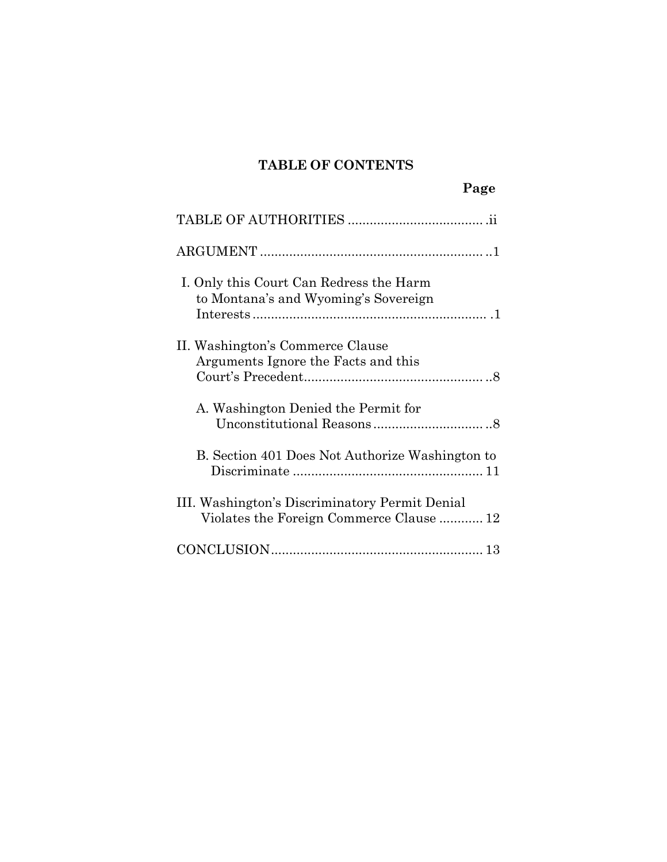## **TABLE OF CONTENTS**

|                                                                                            | Page |
|--------------------------------------------------------------------------------------------|------|
|                                                                                            |      |
|                                                                                            |      |
| I. Only this Court Can Redress the Harm<br>to Montana's and Wyoming's Sovereign            |      |
| II. Washington's Commerce Clause<br>Arguments Ignore the Facts and this                    |      |
| A. Washington Denied the Permit for                                                        |      |
| B. Section 401 Does Not Authorize Washington to                                            |      |
| III. Washington's Discriminatory Permit Denial<br>Violates the Foreign Commerce Clause  12 |      |
|                                                                                            |      |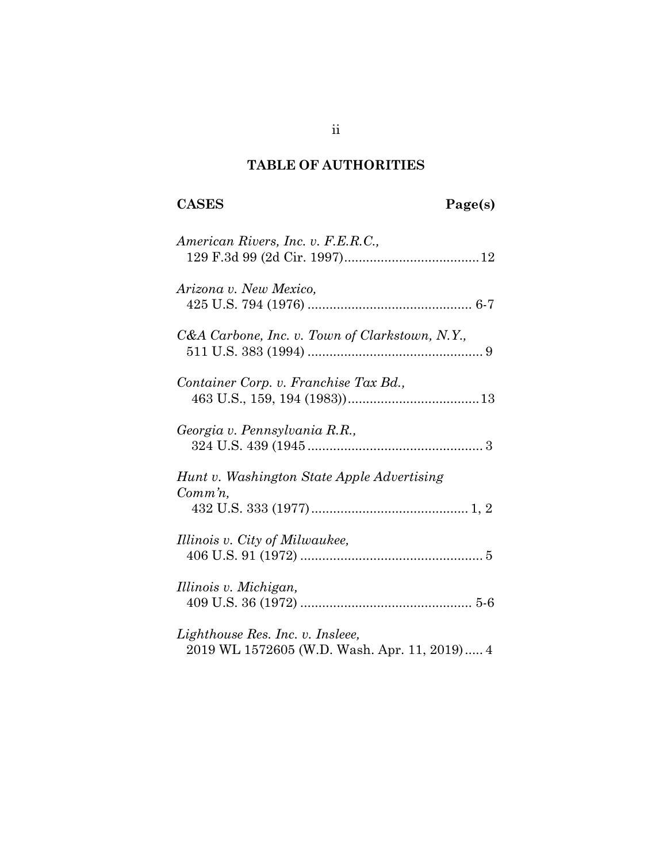## **TABLE OF AUTHORITIES**

# **CASES Page(s)**

| American Rivers, Inc. v. F.E.R.C.,                                               |
|----------------------------------------------------------------------------------|
| Arizona v. New Mexico,                                                           |
| C&A Carbone, Inc. v. Town of Clarkstown, N.Y.,                                   |
| Container Corp. v. Franchise Tax Bd.,                                            |
| Georgia v. Pennsylvania R.R.,                                                    |
| Hunt v. Washington State Apple Advertising<br>$Comm\, n$ ,                       |
| Illinois v. City of Milwaukee,                                                   |
| Illinois v. Michigan,                                                            |
| Lighthouse Res. Inc. v. Insleee,<br>2019 WL 1572605 (W.D. Wash. Apr. 11, 2019) 4 |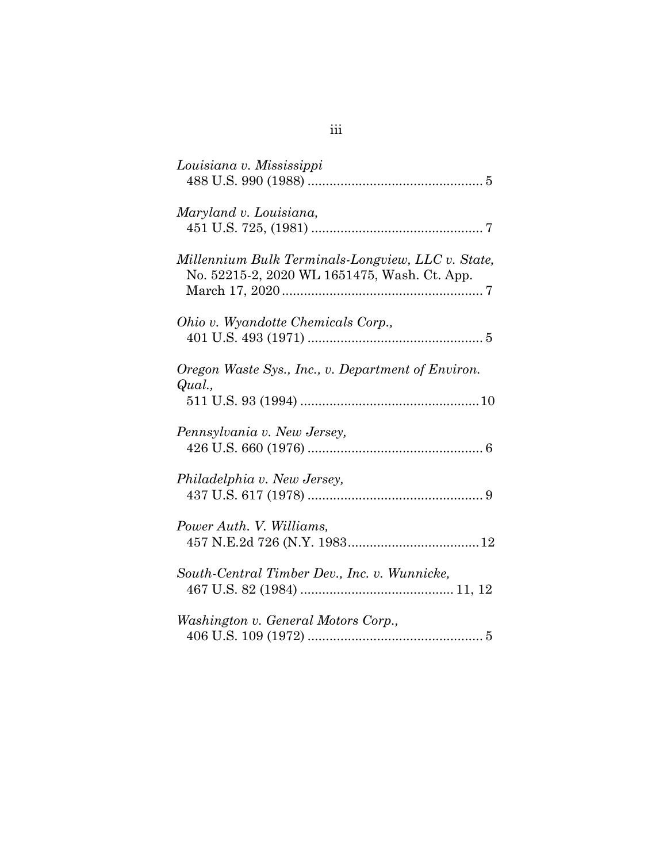| Louisiana v. Mississippi                                                                          |
|---------------------------------------------------------------------------------------------------|
| Maryland v. Louisiana,                                                                            |
| Millennium Bulk Terminals-Longview, LLC v. State,<br>No. 52215-2, 2020 WL 1651475, Wash. Ct. App. |
| Ohio v. Wyandotte Chemicals Corp.,                                                                |
| Oregon Waste Sys., Inc., v. Department of Environ.<br>Qual.,                                      |
| Pennsylvania v. New Jersey,                                                                       |
| Philadelphia v. New Jersey,                                                                       |
| Power Auth. V. Williams,                                                                          |
| South-Central Timber Dev., Inc. v. Wunnicke,                                                      |
| Washington v. General Motors Corp.,                                                               |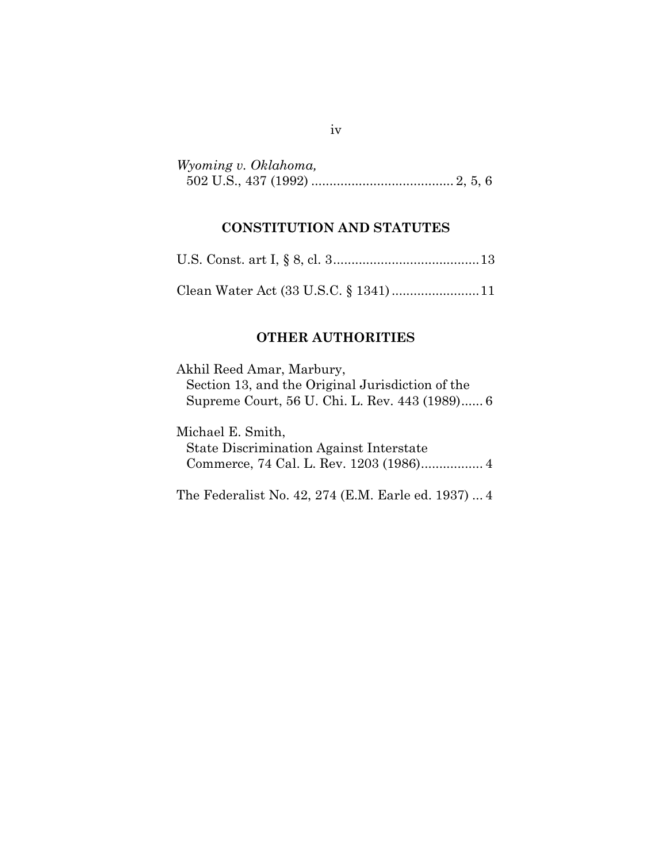| Wyoming v. Oklahoma, |  |  |
|----------------------|--|--|
|                      |  |  |

### **CONSTITUTION AND STATUTES**

|--|--|--|--|--|--|--|

Clean Water Act (33 U.S.C. § 1341)........................11

## **OTHER AUTHORITIES**

Akhil Reed Amar, Marbury, Section 13, and the Original Jurisdiction of the Supreme Court, 56 U. Chi. L. Rev. 443 (1989)...... 6

Michael E. Smith, State Discrimination Against Interstate Commerce, 74 Cal. L. Rev. 1203 (1986)................. 4

The Federalist No. 42, 274 (E.M. Earle ed. 1937) ... 4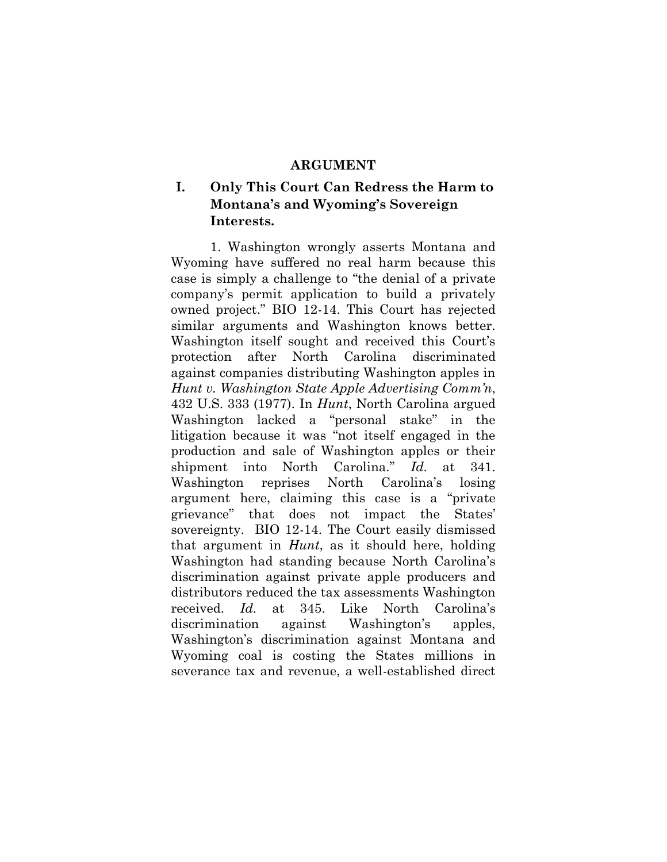#### **ARGUMENT**

## **I. Only This Court Can Redress the Harm to Montana's and Wyoming's Sovereign Interests.**

1. Washington wrongly asserts Montana and Wyoming have suffered no real harm because this case is simply a challenge to "the denial of a private company's permit application to build a privately owned project." BIO 12-14. This Court has rejected similar arguments and Washington knows better. Washington itself sought and received this Court's protection after North Carolina discriminated against companies distributing Washington apples in *Hunt v. Washington State Apple Advertising Comm'n*, 432 U.S. 333 (1977). In *Hunt*, North Carolina argued Washington lacked a "personal stake" in the litigation because it was "not itself engaged in the production and sale of Washington apples or their shipment into North Carolina." *Id*. at 341. Washington reprises North Carolina's losing argument here, claiming this case is a "private grievance" that does not impact the States' sovereignty. BIO 12-14. The Court easily dismissed that argument in *Hunt*, as it should here, holding Washington had standing because North Carolina's discrimination against private apple producers and distributors reduced the tax assessments Washington received. *Id.* at 345. Like North Carolina's discrimination against Washington's apples, Washington's discrimination against Montana and Wyoming coal is costing the States millions in severance tax and revenue, a well-established direct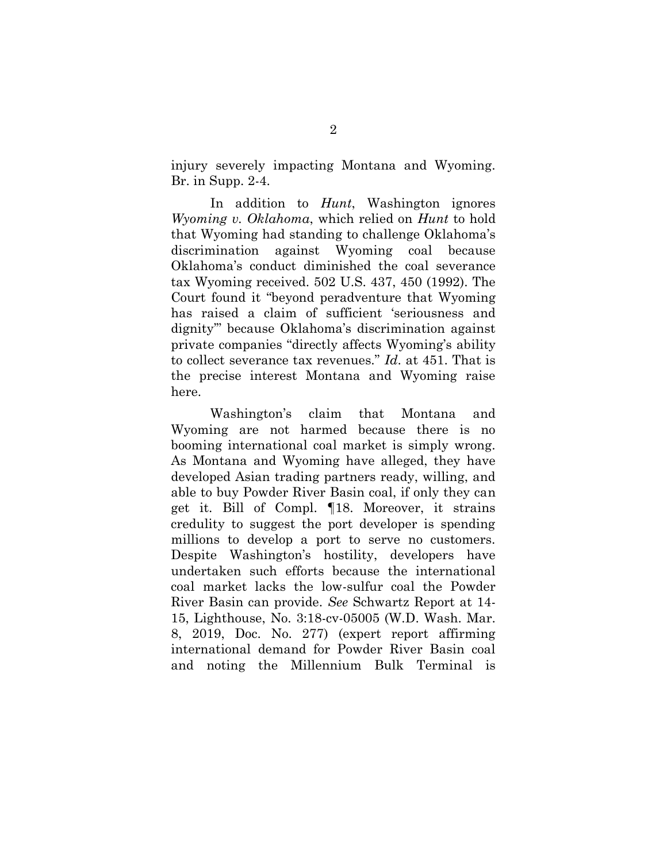injury severely impacting Montana and Wyoming. Br. in Supp. 2-4.

In addition to *Hunt*, Washington ignores *Wyoming v. Oklahoma*, which relied on *Hunt* to hold that Wyoming had standing to challenge Oklahoma's discrimination against Wyoming coal because Oklahoma's conduct diminished the coal severance tax Wyoming received. 502 U.S. 437, 450 (1992). The Court found it "beyond peradventure that Wyoming has raised a claim of sufficient 'seriousness and dignity'" because Oklahoma's discrimination against private companies "directly affects Wyoming's ability to collect severance tax revenues." *Id*. at 451. That is the precise interest Montana and Wyoming raise here.

Washington's claim that Montana and Wyoming are not harmed because there is no booming international coal market is simply wrong. As Montana and Wyoming have alleged, they have developed Asian trading partners ready, willing, and able to buy Powder River Basin coal, if only they can get it. Bill of Compl. ¶18. Moreover, it strains credulity to suggest the port developer is spending millions to develop a port to serve no customers. Despite Washington's hostility, developers have undertaken such efforts because the international coal market lacks the low-sulfur coal the Powder River Basin can provide. *See* Schwartz Report at 14- 15, Lighthouse, No. 3:18-cv-05005 (W.D. Wash. Mar. 8, 2019, Doc. No. 277) (expert report affirming international demand for Powder River Basin coal and noting the Millennium Bulk Terminal is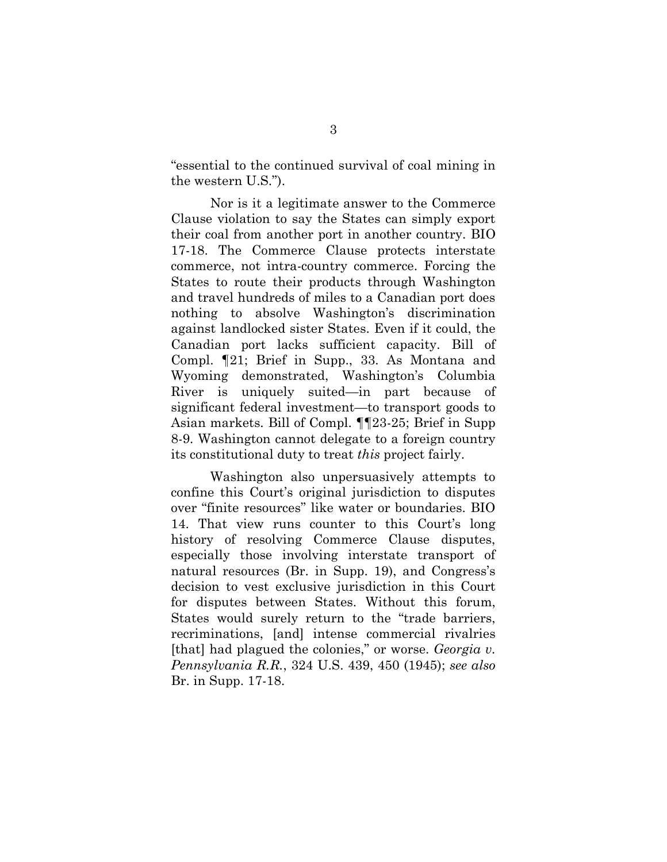"essential to the continued survival of coal mining in the western U.S.").

Nor is it a legitimate answer to the Commerce Clause violation to say the States can simply export their coal from another port in another country. BIO 17-18. The Commerce Clause protects interstate commerce, not intra-country commerce. Forcing the States to route their products through Washington and travel hundreds of miles to a Canadian port does nothing to absolve Washington's discrimination against landlocked sister States. Even if it could, the Canadian port lacks sufficient capacity. Bill of Compl. ¶21; Brief in Supp., 33. As Montana and Wyoming demonstrated, Washington's Columbia River is uniquely suited—in part because of significant federal investment—to transport goods to Asian markets. Bill of Compl. ¶¶23-25; Brief in Supp 8-9. Washington cannot delegate to a foreign country its constitutional duty to treat *this* project fairly.

Washington also unpersuasively attempts to confine this Court's original jurisdiction to disputes over "finite resources" like water or boundaries. BIO 14. That view runs counter to this Court's long history of resolving Commerce Clause disputes, especially those involving interstate transport of natural resources (Br. in Supp. 19), and Congress's decision to vest exclusive jurisdiction in this Court for disputes between States. Without this forum, States would surely return to the "trade barriers, recriminations, [and] intense commercial rivalries [that] had plagued the colonies," or worse. *Georgia v. Pennsylvania R.R.*, 324 U.S. 439, 450 (1945); *see also*  Br. in Supp. 17-18.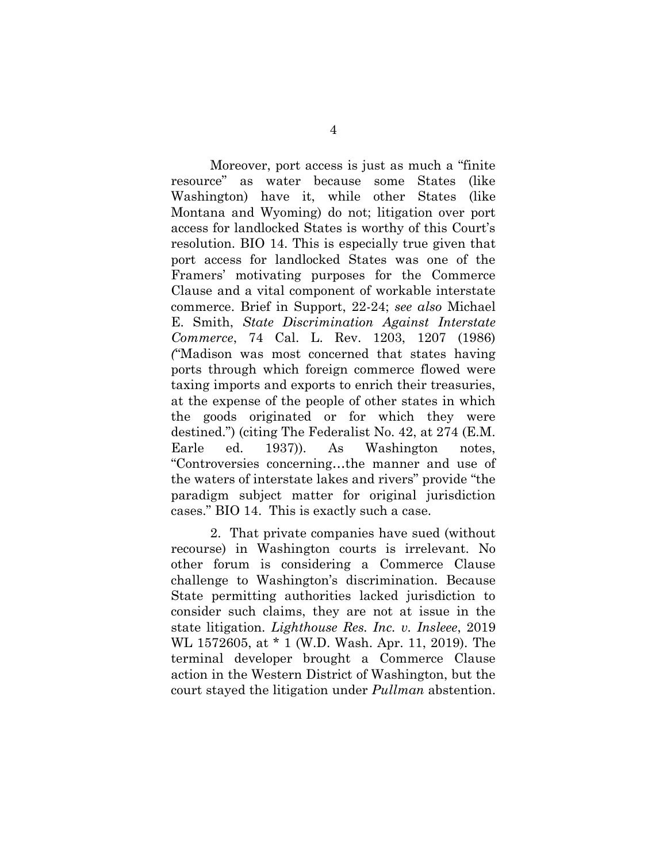Moreover, port access is just as much a "finite resource" as water because some States (like Washington) have it, while other States (like Montana and Wyoming) do not; litigation over port access for landlocked States is worthy of this Court's resolution. BIO 14. This is especially true given that port access for landlocked States was one of the Framers' motivating purposes for the Commerce Clause and a vital component of workable interstate commerce. Brief in Support, 22-24; *see also* Michael E. Smith, *State Discrimination Against Interstate Commerce*, 74 Cal. L. Rev. 1203, 1207 (1986) *(*"Madison was most concerned that states having ports through which foreign commerce flowed were taxing imports and exports to enrich their treasuries, at the expense of the people of other states in which the goods originated or for which they were destined.") (citing The Federalist No. 42, at 274 (E.M. Earle ed. 1937)). As Washington notes, "Controversies concerning…the manner and use of the waters of interstate lakes and rivers" provide "the paradigm subject matter for original jurisdiction cases." BIO 14. This is exactly such a case.

2. That private companies have sued (without recourse) in Washington courts is irrelevant. No other forum is considering a Commerce Clause challenge to Washington's discrimination. Because State permitting authorities lacked jurisdiction to consider such claims, they are not at issue in the state litigation. *Lighthouse Res. Inc. v. Insleee*, 2019 WL 1572605, at \* 1 (W.D. Wash. Apr. 11, 2019). The terminal developer brought a Commerce Clause action in the Western District of Washington, but the court stayed the litigation under *Pullman* abstention.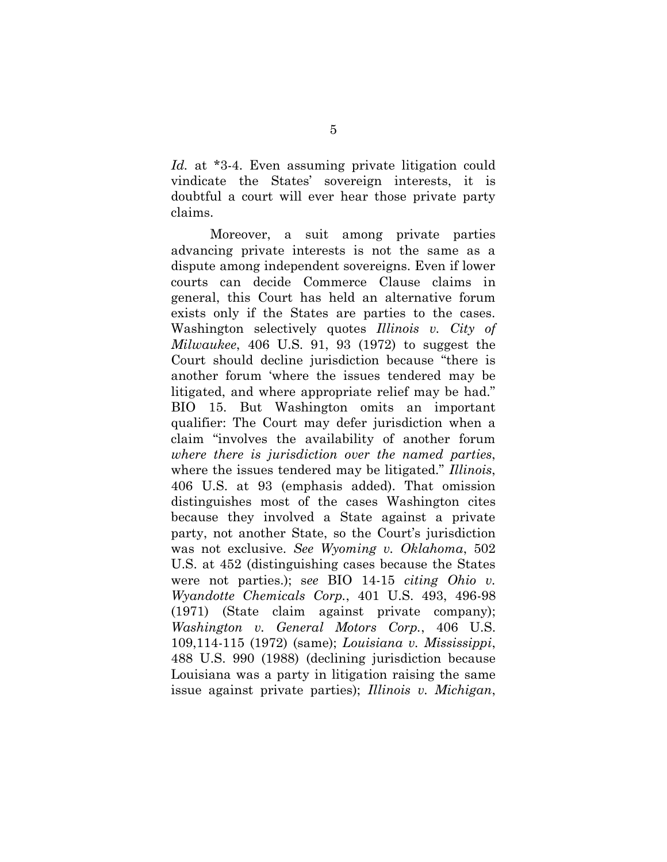*Id.* at \*3-4. Even assuming private litigation could vindicate the States' sovereign interests, it is doubtful a court will ever hear those private party claims.

Moreover, a suit among private parties advancing private interests is not the same as a dispute among independent sovereigns. Even if lower courts can decide Commerce Clause claims in general, this Court has held an alternative forum exists only if the States are parties to the cases. Washington selectively quotes *Illinois v. City of Milwaukee*, 406 U.S. 91, 93 (1972) to suggest the Court should decline jurisdiction because "there is another forum 'where the issues tendered may be litigated, and where appropriate relief may be had." BIO 15. But Washington omits an important qualifier: The Court may defer jurisdiction when a claim "involves the availability of another forum *where there is jurisdiction over the named parties*, where the issues tendered may be litigated." *Illinois*, 406 U.S. at 93 (emphasis added). That omission distinguishes most of the cases Washington cites because they involved a State against a private party, not another State, so the Court's jurisdiction was not exclusive. *See Wyoming v. Oklahoma*, 502 U.S. at 452 (distinguishing cases because the States were not parties.); s*ee* BIO 14-15 *citing Ohio v. Wyandotte Chemicals Corp.*, 401 U.S. 493, 496-98 (1971) (State claim against private company); *Washington v. General Motors Corp.*, 406 U.S. 109,114-115 (1972) (same); *Louisiana v. Mississippi*, 488 U.S. 990 (1988) (declining jurisdiction because Louisiana was a party in litigation raising the same issue against private parties); *Illinois v. Michigan*,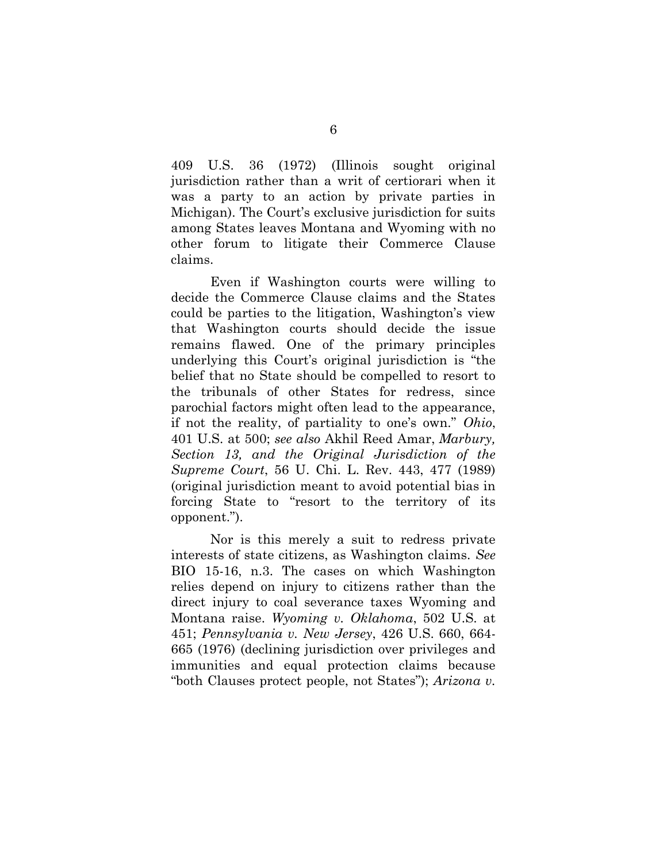409 U.S. 36 (1972) (Illinois sought original jurisdiction rather than a writ of certiorari when it was a party to an action by private parties in Michigan). The Court's exclusive jurisdiction for suits among States leaves Montana and Wyoming with no other forum to litigate their Commerce Clause claims.

Even if Washington courts were willing to decide the Commerce Clause claims and the States could be parties to the litigation, Washington's view that Washington courts should decide the issue remains flawed. One of the primary principles underlying this Court's original jurisdiction is "the belief that no State should be compelled to resort to the tribunals of other States for redress, since parochial factors might often lead to the appearance, if not the reality, of partiality to one's own." *Ohio*, 401 U.S. at 500; *see also* Akhil Reed Amar, *Marbury, Section 13, and the Original Jurisdiction of the Supreme Court*, 56 U. Chi. L. Rev. 443, 477 (1989) (original jurisdiction meant to avoid potential bias in forcing State to "resort to the territory of its opponent.").

Nor is this merely a suit to redress private interests of state citizens, as Washington claims. *See*  BIO 15-16, n.3. The cases on which Washington relies depend on injury to citizens rather than the direct injury to coal severance taxes Wyoming and Montana raise. *Wyoming v. Oklahoma*, 502 U.S. at 451; *Pennsylvania v. New Jersey*, 426 U.S. 660, 664- 665 (1976) (declining jurisdiction over privileges and immunities and equal protection claims because "both Clauses protect people, not States"); *Arizona v.*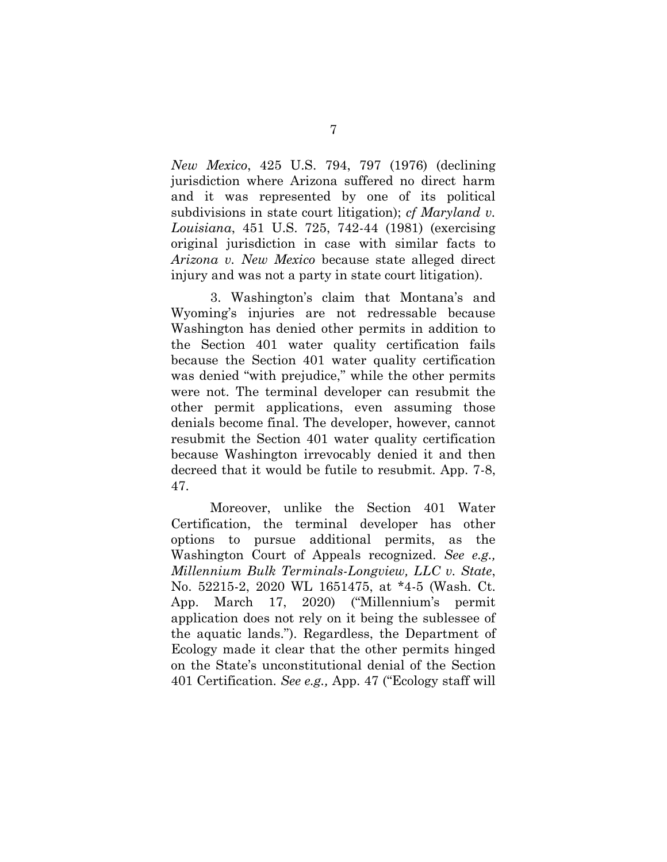*New Mexico*, 425 U.S. 794, 797 (1976) (declining jurisdiction where Arizona suffered no direct harm and it was represented by one of its political subdivisions in state court litigation); *cf Maryland v. Louisiana*, 451 U.S. 725, 742-44 (1981) (exercising original jurisdiction in case with similar facts to *Arizona v. New Mexico* because state alleged direct injury and was not a party in state court litigation).

3. Washington's claim that Montana's and Wyoming's injuries are not redressable because Washington has denied other permits in addition to the Section 401 water quality certification fails because the Section 401 water quality certification was denied "with prejudice," while the other permits were not. The terminal developer can resubmit the other permit applications, even assuming those denials become final. The developer, however, cannot resubmit the Section 401 water quality certification because Washington irrevocably denied it and then decreed that it would be futile to resubmit. App. 7-8, 47.

Moreover, unlike the Section 401 Water Certification, the terminal developer has other options to pursue additional permits, as the Washington Court of Appeals recognized. *See e.g., Millennium Bulk Terminals-Longview, LLC v. State*, No. 52215-2, 2020 WL 1651475, at \*4-5 (Wash. Ct. App. March 17, 2020) ("Millennium's permit application does not rely on it being the sublessee of the aquatic lands."). Regardless, the Department of Ecology made it clear that the other permits hinged on the State's unconstitutional denial of the Section 401 Certification. *See e.g.,* App. 47 ("Ecology staff will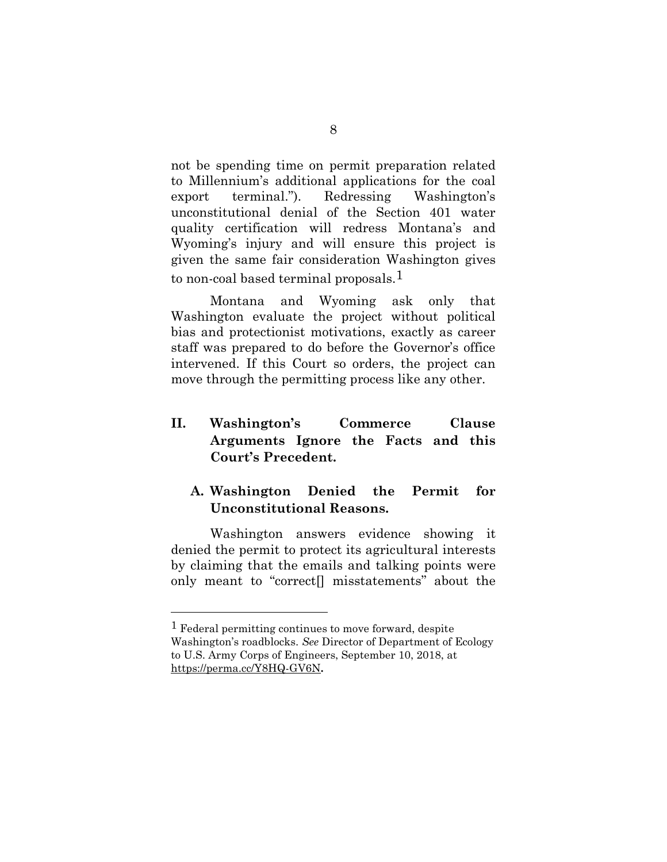not be spending time on permit preparation related to Millennium's additional applications for the coal export terminal."). Redressing Washington's unconstitutional denial of the Section 401 water quality certification will redress Montana's and Wyoming's injury and will ensure this project is given the same fair consideration Washington gives to non-coal based terminal proposals.<sup>1</sup>

Montana and Wyoming ask only that Washington evaluate the project without political bias and protectionist motivations, exactly as career staff was prepared to do before the Governor's office intervened. If this Court so orders, the project can move through the permitting process like any other.

## **II. Washington's Commerce Clause Arguments Ignore the Facts and this Court's Precedent.**

## **A. Washington Denied the Permit for Unconstitutional Reasons.**

Washington answers evidence showing it denied the permit to protect its agricultural interests by claiming that the emails and talking points were only meant to "correct[] misstatements" about the

<sup>1</sup> Federal permitting continues to move forward, despite Washington's roadblocks. *See* Director of Department of Ecology to U.S. Army Corps of Engineers, September 10, 2018, at <https://perma.cc/Y8HQ-GV6N>**.**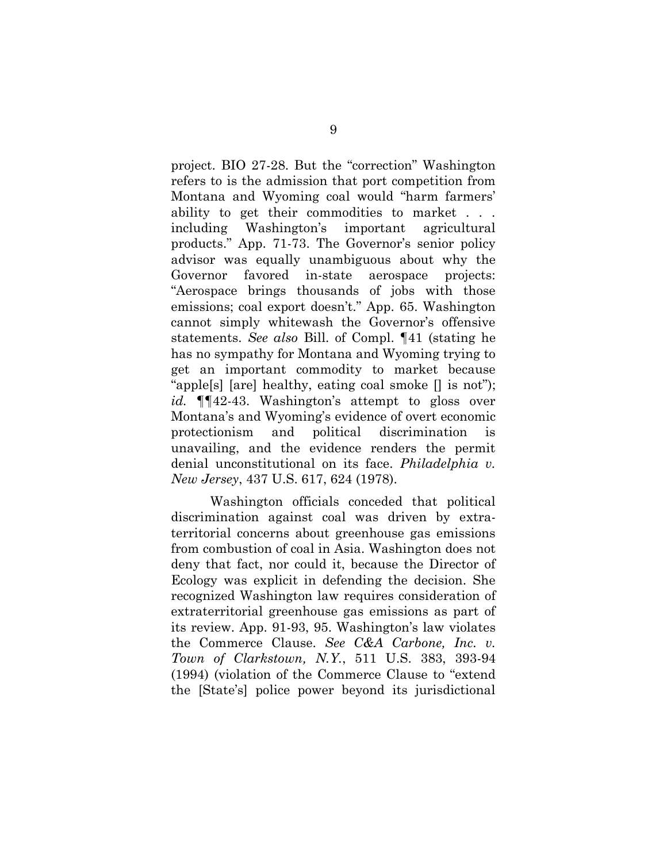project. BIO 27-28. But the "correction" Washington refers to is the admission that port competition from Montana and Wyoming coal would "harm farmers' ability to get their commodities to market . . . including Washington's important agricultural products." App. 71-73. The Governor's senior policy advisor was equally unambiguous about why the Governor favored in-state aerospace projects: "Aerospace brings thousands of jobs with those emissions; coal export doesn't." App. 65. Washington cannot simply whitewash the Governor's offensive statements. *See also* Bill. of Compl. ¶41 (stating he has no sympathy for Montana and Wyoming trying to get an important commodity to market because "apple[s] [are] healthy, eating coal smoke [] is not"); *id.* ¶¶42-43. Washington's attempt to gloss over Montana's and Wyoming's evidence of overt economic protectionism and political discrimination is unavailing, and the evidence renders the permit denial unconstitutional on its face. *Philadelphia v. New Jersey*, 437 U.S. 617, 624 (1978).

Washington officials conceded that political discrimination against coal was driven by extraterritorial concerns about greenhouse gas emissions from combustion of coal in Asia. Washington does not deny that fact, nor could it, because the Director of Ecology was explicit in defending the decision. She recognized Washington law requires consideration of extraterritorial greenhouse gas emissions as part of its review. App. 91-93, 95. Washington's law violates the Commerce Clause. *See C&A Carbone, Inc. v. Town of Clarkstown, N.Y.*, 511 U.S. 383, 393-94 (1994) (violation of the Commerce Clause to "extend the [State's] police power beyond its jurisdictional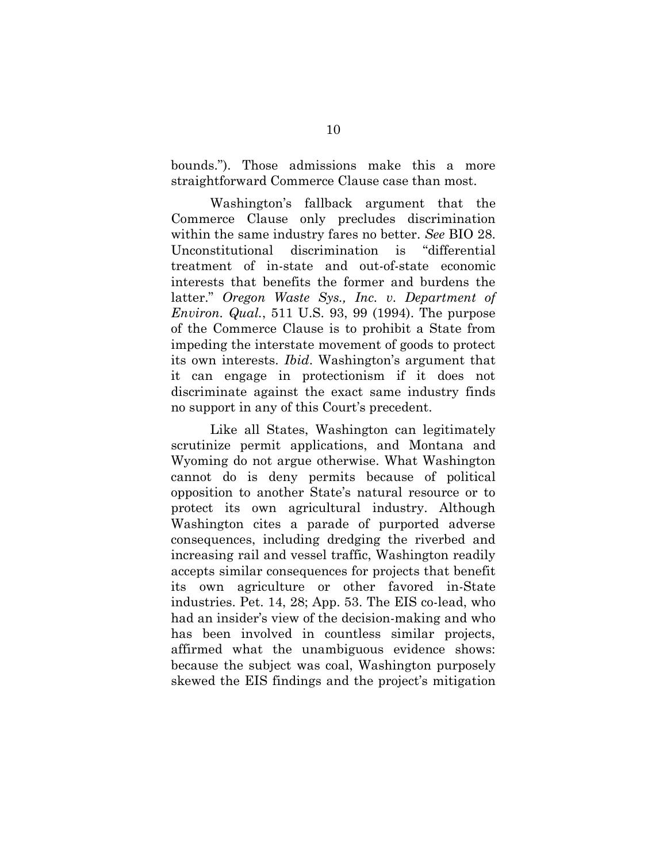bounds."). Those admissions make this a more straightforward Commerce Clause case than most.

Washington's fallback argument that the Commerce Clause only precludes discrimination within the same industry fares no better. *See* BIO 28. Unconstitutional discrimination is "differential treatment of in-state and out-of-state economic interests that benefits the former and burdens the latter." *Oregon Waste Sys., Inc. v. Department of Environ. Qual.*, 511 U.S. 93, 99 (1994). The purpose of the Commerce Clause is to prohibit a State from impeding the interstate movement of goods to protect its own interests. *Ibid*. Washington's argument that it can engage in protectionism if it does not discriminate against the exact same industry finds no support in any of this Court's precedent.

Like all States, Washington can legitimately scrutinize permit applications, and Montana and Wyoming do not argue otherwise. What Washington cannot do is deny permits because of political opposition to another State's natural resource or to protect its own agricultural industry. Although Washington cites a parade of purported adverse consequences, including dredging the riverbed and increasing rail and vessel traffic, Washington readily accepts similar consequences for projects that benefit its own agriculture or other favored in-State industries. Pet. 14, 28; App. 53. The EIS co-lead, who had an insider's view of the decision-making and who has been involved in countless similar projects, affirmed what the unambiguous evidence shows: because the subject was coal, Washington purposely skewed the EIS findings and the project's mitigation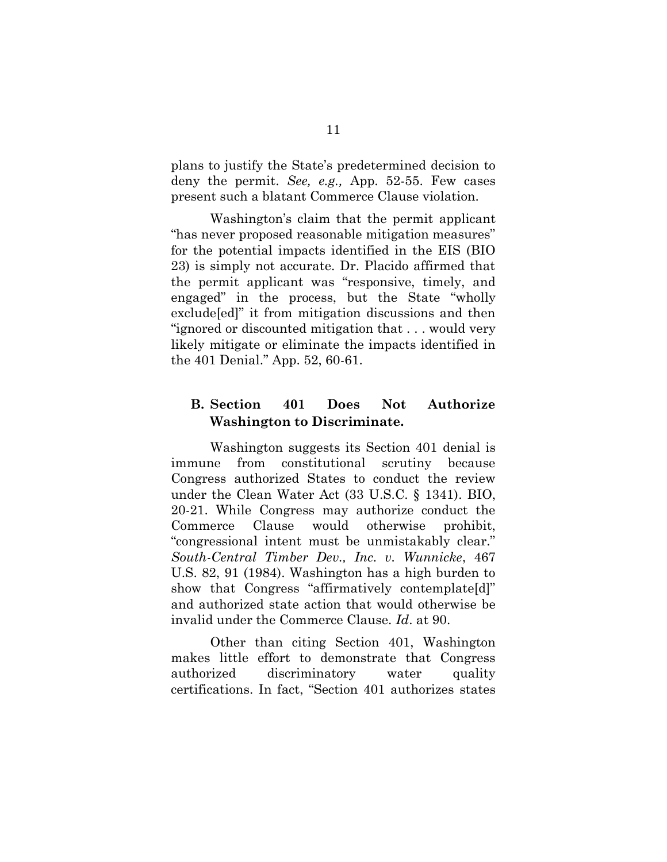plans to justify the State's predetermined decision to deny the permit. *See, e.g.,* App. 52-55. Few cases present such a blatant Commerce Clause violation.

Washington's claim that the permit applicant "has never proposed reasonable mitigation measures" for the potential impacts identified in the EIS (BIO 23) is simply not accurate. Dr. Placido affirmed that the permit applicant was "responsive, timely, and engaged" in the process, but the State "wholly exclude[ed]" it from mitigation discussions and then "ignored or discounted mitigation that . . . would very likely mitigate or eliminate the impacts identified in the 401 Denial." App. 52, 60-61.

## **B. Section 401 Does Not Authorize Washington to Discriminate.**

Washington suggests its Section 401 denial is immune from constitutional scrutiny because Congress authorized States to conduct the review under the Clean Water Act (33 U.S.C. § 1341). BIO, 20-21. While Congress may authorize conduct the Commerce Clause would otherwise prohibit, "congressional intent must be unmistakably clear." *South-Central Timber Dev., Inc. v. Wunnicke*, 467 U.S. 82, 91 (1984). Washington has a high burden to show that Congress "affirmatively contemplate[d]" and authorized state action that would otherwise be invalid under the Commerce Clause. *Id*. at 90.

Other than citing Section 401, Washington makes little effort to demonstrate that Congress authorized discriminatory water quality certifications. In fact, "Section 401 authorizes states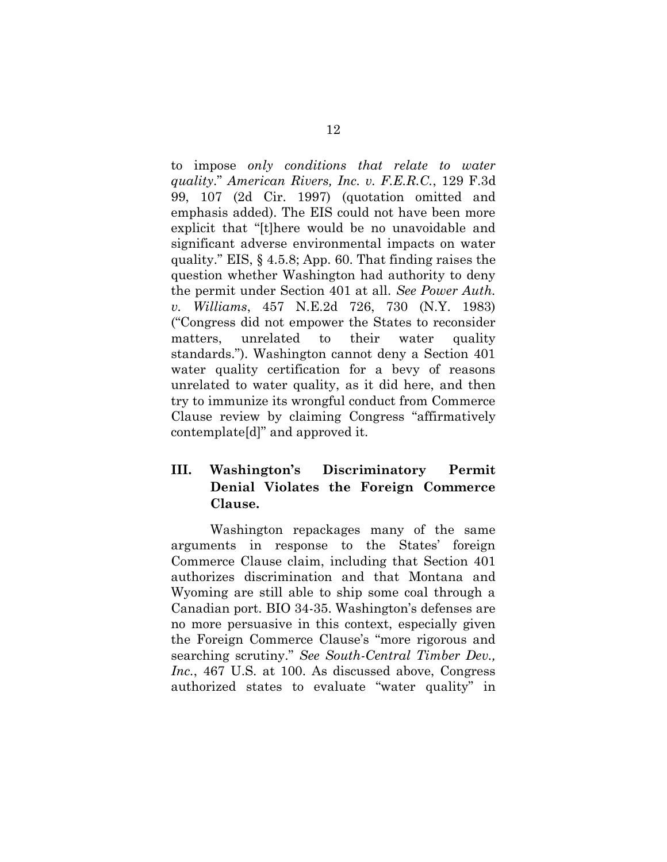to impose *only conditions that relate to water quality*." *American Rivers, Inc. v. F.E.R.C.*, 129 F.3d 99, 107 (2d Cir. 1997) (quotation omitted and emphasis added). The EIS could not have been more explicit that "[t]here would be no unavoidable and significant adverse environmental impacts on water quality." EIS, § 4.5.8; App. 60. That finding raises the question whether Washington had authority to deny the permit under Section 401 at all. *See Power Auth. v. Williams*, 457 N.E.2d 726, 730 (N.Y. 1983) ("Congress did not empower the States to reconsider matters, unrelated to their water quality standards."). Washington cannot deny a Section 401 water quality certification for a bevy of reasons unrelated to water quality, as it did here, and then try to immunize its wrongful conduct from Commerce Clause review by claiming Congress "affirmatively contemplate[d]" and approved it.

## **III. Washington's Discriminatory Permit Denial Violates the Foreign Commerce Clause.**

Washington repackages many of the same arguments in response to the States' foreign Commerce Clause claim, including that Section 401 authorizes discrimination and that Montana and Wyoming are still able to ship some coal through a Canadian port. BIO 34-35. Washington's defenses are no more persuasive in this context, especially given the Foreign Commerce Clause's "more rigorous and searching scrutiny." *See South-Central Timber Dev., Inc.*, 467 U.S. at 100. As discussed above, Congress authorized states to evaluate "water quality" in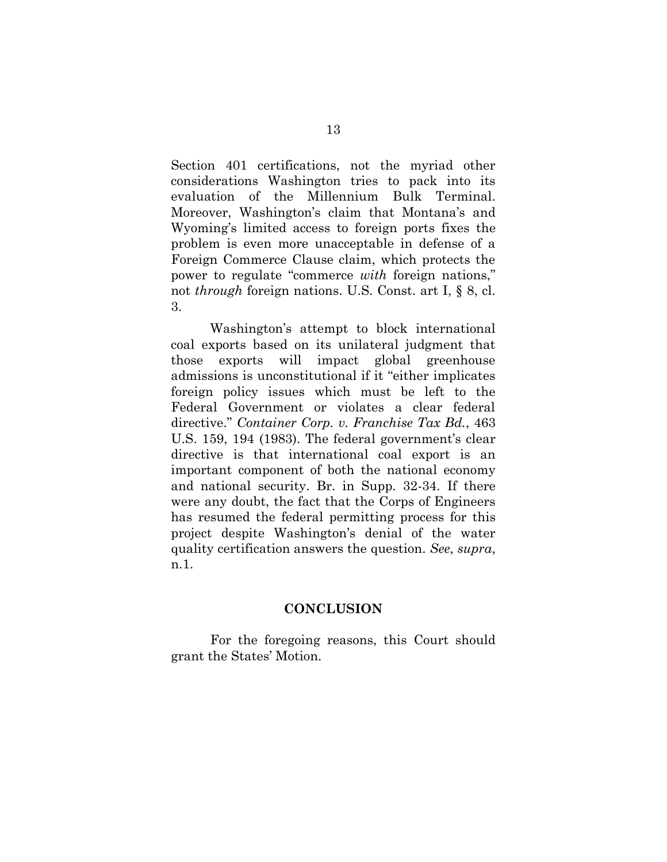Section 401 certifications, not the myriad other considerations Washington tries to pack into its evaluation of the Millennium Bulk Terminal. Moreover, Washington's claim that Montana's and Wyoming's limited access to foreign ports fixes the problem is even more unacceptable in defense of a Foreign Commerce Clause claim, which protects the power to regulate "commerce *with* foreign nations," not *through* foreign nations. U.S. Const. art I, § 8, cl. 3.

Washington's attempt to block international coal exports based on its unilateral judgment that those exports will impact global greenhouse admissions is unconstitutional if it "either implicates foreign policy issues which must be left to the Federal Government or violates a clear federal directive." *Container Corp. v. Franchise Tax Bd.*, 463 U.S. 159, 194 (1983). The federal government's clear directive is that international coal export is an important component of both the national economy and national security. Br. in Supp. 32-34. If there were any doubt, the fact that the Corps of Engineers has resumed the federal permitting process for this project despite Washington's denial of the water quality certification answers the question. *See*, *supra*, n.1.

#### **CONCLUSION**

For the foregoing reasons, this Court should grant the States' Motion.